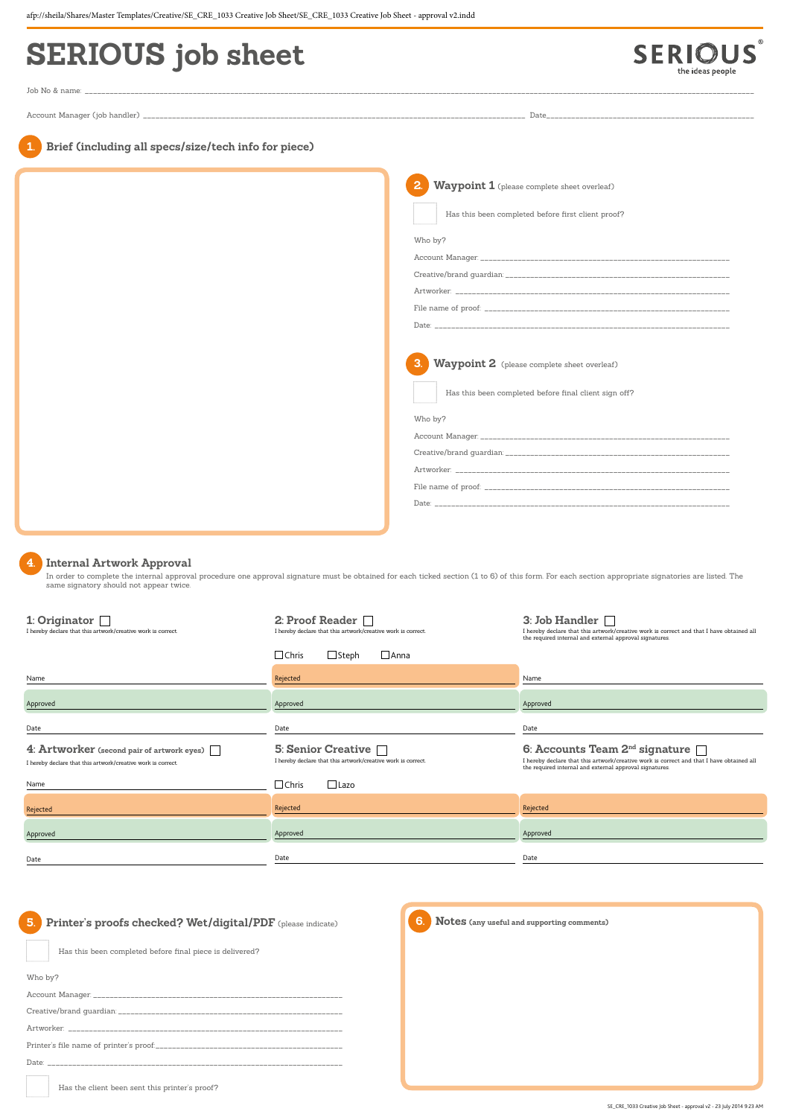| specs/size/tech info for piece) |                                                                                                                 |
|---------------------------------|-----------------------------------------------------------------------------------------------------------------|
|                                 | Waypoint 1 (please complete sheet overleaf)<br>Has this been completed before first client proof?<br>Who by?    |
|                                 | Waypoint 2 (please complete sheet overleaf)<br>Has this been completed before final client sign off?<br>Who by? |
|                                 |                                                                                                                 |

| 1: Originator $\Box$<br>I hereby declare that this artwork/creative work is correct.                       | 2: Proof Reader $\Box$<br>I hereby declare that this artwork/creative work is correct. | 3: Job Handler $\Box$<br>I hereby declare that this artwork/creative work is correct and that I have obtained all<br>the required internal and external approval signatures.                      |
|------------------------------------------------------------------------------------------------------------|----------------------------------------------------------------------------------------|---------------------------------------------------------------------------------------------------------------------------------------------------------------------------------------------------|
|                                                                                                            | $\sqcup$ Chris<br>$\Box$ Steph<br>$\Box$ Anna                                          |                                                                                                                                                                                                   |
| Name                                                                                                       | Rejected                                                                               | Name                                                                                                                                                                                              |
| Approved                                                                                                   | Approved                                                                               | Approved                                                                                                                                                                                          |
| Date                                                                                                       | Date                                                                                   | Date                                                                                                                                                                                              |
| 4: Artworker (second pair of artwork eyes)<br>I hereby declare that this artwork/creative work is correct. | 5: Senior Creative<br>I hereby declare that this artwork/creative work is correct.     | 6: Accounts Team $2^{nd}$ signature $\Box$<br>I hereby declare that this artwork/creative work is correct and that I have obtained all<br>the required internal and external approval signatures. |
| Name                                                                                                       | $\sqcup$ Chris<br>$\Box$ Lazo                                                          |                                                                                                                                                                                                   |
| Rejected                                                                                                   | Rejected                                                                               | Rejected                                                                                                                                                                                          |
| Approved                                                                                                   | Approved                                                                               | Approved                                                                                                                                                                                          |

# **SERIOUS job sheet**

**US** SERIO the ideas people

 $^\circledR$ 

Job No & name: \_\_\_\_\_\_\_\_\_\_\_\_\_\_\_\_\_\_\_\_\_\_\_\_\_\_\_\_\_\_\_\_\_\_\_\_\_\_\_\_\_\_\_\_\_\_\_\_\_\_\_\_\_\_\_\_\_\_\_\_\_\_\_\_\_\_\_\_\_\_\_\_\_\_\_\_\_\_\_\_\_\_\_\_\_\_\_\_\_\_\_\_\_\_\_\_\_\_\_\_\_\_\_\_\_\_\_\_\_\_\_\_\_\_\_\_\_\_\_\_\_\_\_\_\_\_\_\_\_\_\_\_\_\_\_\_\_\_\_\_\_\_\_\_\_\_\_\_\_\_\_\_\_\_\_\_\_\_\_\_\_

Account Manager (job handler) \_\_

**Brief (including all** 

# **4. Internal Artwork Approval**

 In order to complete the internal approval procedure one approval signature must be obtained for each ticked section (1 to 6) of this form. For each section appropriate signatories are listed. The same signatory should not appear twice.

**5. Printer's proofs checked? Wet/digital/PDF** (please indicate)

Has this been completed before final piece is delivered?

Who by?

Account Manager:

Creative/brand guardian: \_\_\_\_\_\_\_

Artworker: \_

Printer's file name of printer's proof:\_\_\_

Date: \_\_\_\_\_\_\_\_\_\_\_\_\_\_\_\_\_\_\_\_\_\_\_\_\_\_\_\_\_\_\_\_\_\_\_\_\_\_\_\_\_\_\_\_\_\_\_\_\_\_\_\_\_\_\_\_\_\_\_\_\_\_\_\_\_\_\_\_\_\_\_

Has the client been sent this printer's proof?



### **6. Notes (any useful and supporting comments)**